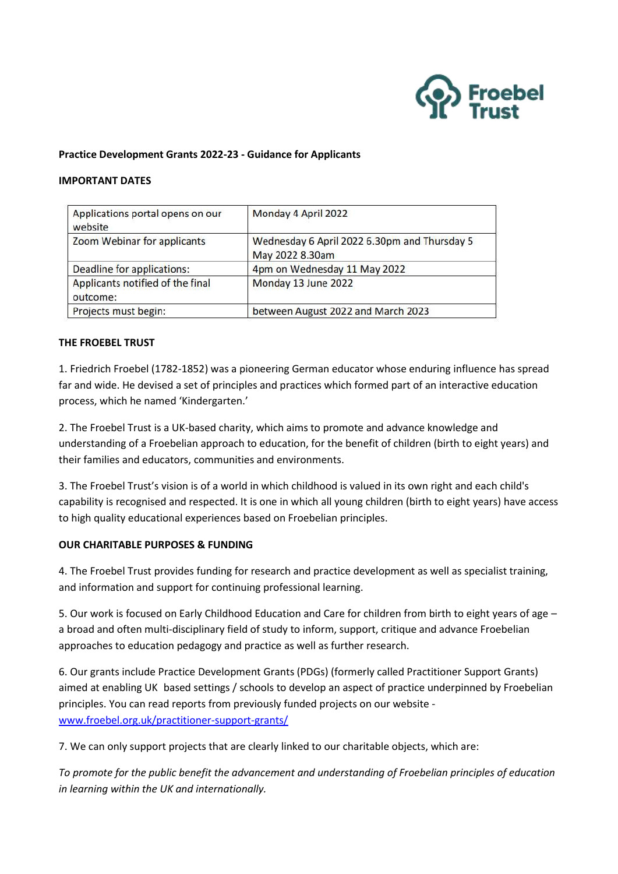

### **Practice Development Grants 2022-23 - Guidance for Applicants**

#### **IMPORTANT DATES**

| Applications portal opens on our<br>website  | Monday 4 April 2022                                             |
|----------------------------------------------|-----------------------------------------------------------------|
| Zoom Webinar for applicants                  | Wednesday 6 April 2022 6.30pm and Thursday 5<br>May 2022 8.30am |
| Deadline for applications:                   | 4pm on Wednesday 11 May 2022                                    |
| Applicants notified of the final<br>outcome: | Monday 13 June 2022                                             |
| Projects must begin:                         | between August 2022 and March 2023                              |

### **THE FROEBEL TRUST**

1. Friedrich Froebel (1782-1852) was a pioneering German educator whose enduring influence has spread far and wide. He devised a set of principles and practices which formed part of an interactive education process, which he named 'Kindergarten.'

2. The Froebel Trust is a UK-based charity, which aims to promote and advance knowledge and understanding of a Froebelian approach to education, for the benefit of children (birth to eight years) and their families and educators, communities and environments.

3. The Froebel Trust's vision is of a world in which childhood is valued in its own right and each child's capability is recognised and respected. It is one in which all young children (birth to eight years) have access to high quality educational experiences based on Froebelian principles.

#### **OUR CHARITABLE PURPOSES & FUNDING**

4. The Froebel Trust provides funding for research and practice development as well as specialist training, and information and support for continuing professional learning.

5. Our work is focused on Early Childhood Education and Care for children from birth to eight years of age – a broad and often multi-disciplinary field of study to inform, support, critique and advance Froebelian approaches to education pedagogy and practice as well as further research.

6. Our grants include Practice Development Grants (PDGs) (formerly called Practitioner Support Grants) aimed at enabling UK based settings / schools to develop an aspect of practice underpinned by Froebelian principles. You can read reports from previously funded projects on our website [www.froebel.org.uk/practitioner-support-grants/](http://www.froebel.org.uk/practitioner-support-grants/)

7. We can only support projects that are clearly linked to our charitable objects, which are:

*To promote for the public benefit the advancement and understanding of Froebelian principles of education in learning within the UK and internationally.*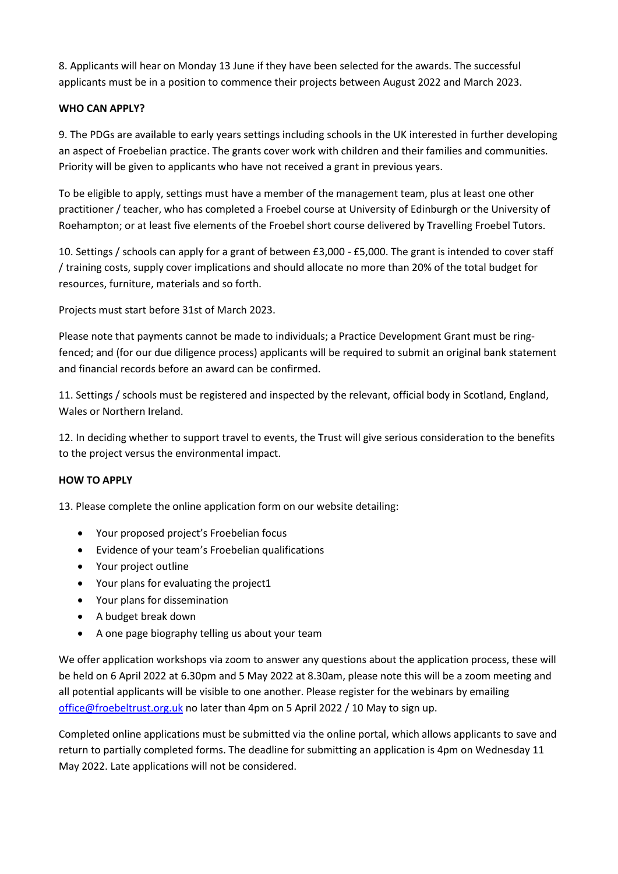8. Applicants will hear on Monday 13 June if they have been selected for the awards. The successful applicants must be in a position to commence their projects between August 2022 and March 2023.

# **WHO CAN APPLY?**

9. The PDGs are available to early years settings including schools in the UK interested in further developing an aspect of Froebelian practice. The grants cover work with children and their families and communities. Priority will be given to applicants who have not received a grant in previous years.

To be eligible to apply, settings must have a member of the management team, plus at least one other practitioner / teacher, who has completed a Froebel course at University of Edinburgh or the University of Roehampton; or at least five elements of the Froebel short course delivered by Travelling Froebel Tutors.

10. Settings / schools can apply for a grant of between £3,000 - £5,000. The grant is intended to cover staff / training costs, supply cover implications and should allocate no more than 20% of the total budget for resources, furniture, materials and so forth.

Projects must start before 31st of March 2023.

Please note that payments cannot be made to individuals; a Practice Development Grant must be ringfenced; and (for our due diligence process) applicants will be required to submit an original bank statement and financial records before an award can be confirmed.

11. Settings / schools must be registered and inspected by the relevant, official body in Scotland, England, Wales or Northern Ireland.

12. In deciding whether to support travel to events, the Trust will give serious consideration to the benefits to the project versus the environmental impact.

## **HOW TO APPLY**

13. Please complete the online application form on our website detailing:

- Your proposed project's Froebelian focus
- Evidence of your team's Froebelian qualifications
- Your project outline
- Your plans for evaluating the project1
- Your plans for dissemination
- A budget break down
- A one page biography telling us about your team

We offer application workshops via zoom to answer any questions about the application process, these will be held on 6 April 2022 at 6.30pm and 5 May 2022 at 8.30am, please note this will be a zoom meeting and all potential applicants will be visible to one another. Please register for the webinars by emailing [office@froebeltrust.org.uk](mailto:office@froebeltrust.org.uk) no later than 4pm on 5 April 2022 / 10 May to sign up.

Completed online applications must be submitted via the online portal, which allows applicants to save and return to partially completed forms. The deadline for submitting an application is 4pm on Wednesday 11 May 2022. Late applications will not be considered.